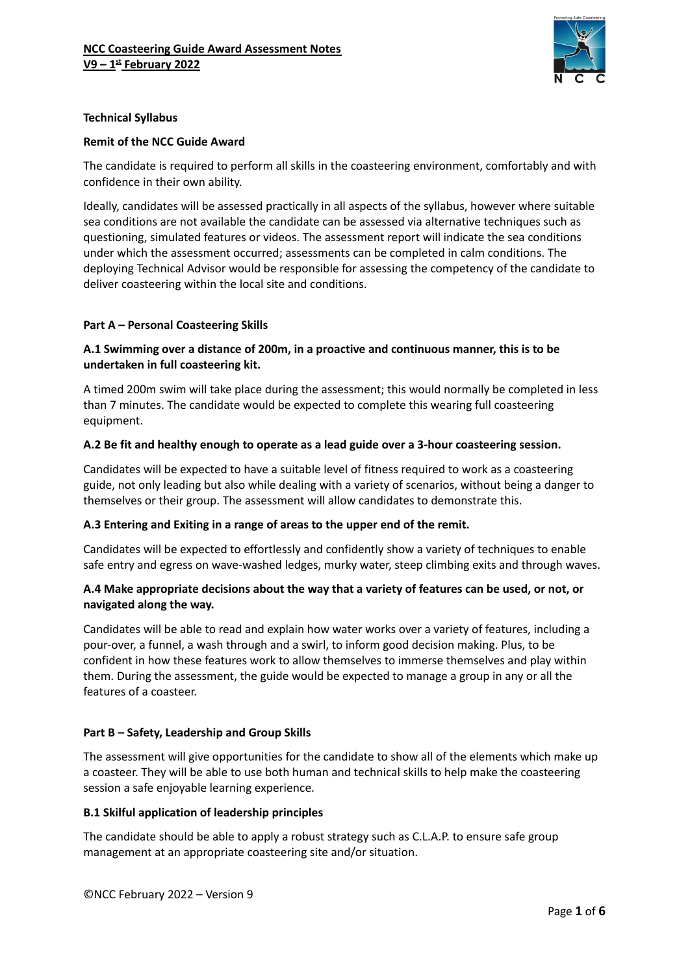

## **Technical Syllabus**

### **Remit of the NCC Guide Award**

The candidate is required to perform all skills in the coasteering environment, comfortably and with confidence in their own ability.

Ideally, candidates will be assessed practically in all aspects of the syllabus, however where suitable sea conditions are not available the candidate can be assessed via alternative techniques such as questioning, simulated features or videos. The assessment report will indicate the sea conditions under which the assessment occurred; assessments can be completed in calm conditions. The deploying Technical Advisor would be responsible for assessing the competency of the candidate to deliver coasteering within the local site and conditions.

#### **Part A – Personal Coasteering Skills**

# **A.1 Swimming over a distance of 200m, in a proactive and continuous manner, this is to be undertaken in full coasteering kit.**

A timed 200m swim will take place during the assessment; this would normally be completed in less than 7 minutes. The candidate would be expected to complete this wearing full coasteering equipment.

## **A.2 Be fit and healthy enough to operate as a lead guide over a 3-hour coasteering session.**

Candidates will be expected to have a suitable level of fitness required to work as a coasteering guide, not only leading but also while dealing with a variety of scenarios, without being a danger to themselves or their group. The assessment will allow candidates to demonstrate this.

#### **A.3 Entering and Exiting in a range of areas to the upper end of the remit.**

Candidates will be expected to effortlessly and confidently show a variety of techniques to enable safe entry and egress on wave-washed ledges, murky water, steep climbing exits and through waves.

## **A.4 Make appropriate decisions about the way that a variety of features can be used, or not, or navigated along the way.**

Candidates will be able to read and explain how water works over a variety of features, including a pour-over, a funnel, a wash through and a swirl, to inform good decision making. Plus, to be confident in how these features work to allow themselves to immerse themselves and play within them. During the assessment, the guide would be expected to manage a group in any or all the features of a coasteer.

#### **Part B – Safety, Leadership and Group Skills**

The assessment will give opportunities for the candidate to show all of the elements which make up a coasteer. They will be able to use both human and technical skills to help make the coasteering session a safe enjoyable learning experience.

#### **B.1 Skilful application of leadership principles**

The candidate should be able to apply a robust strategy such as C.L.A.P. to ensure safe group management at an appropriate coasteering site and/or situation.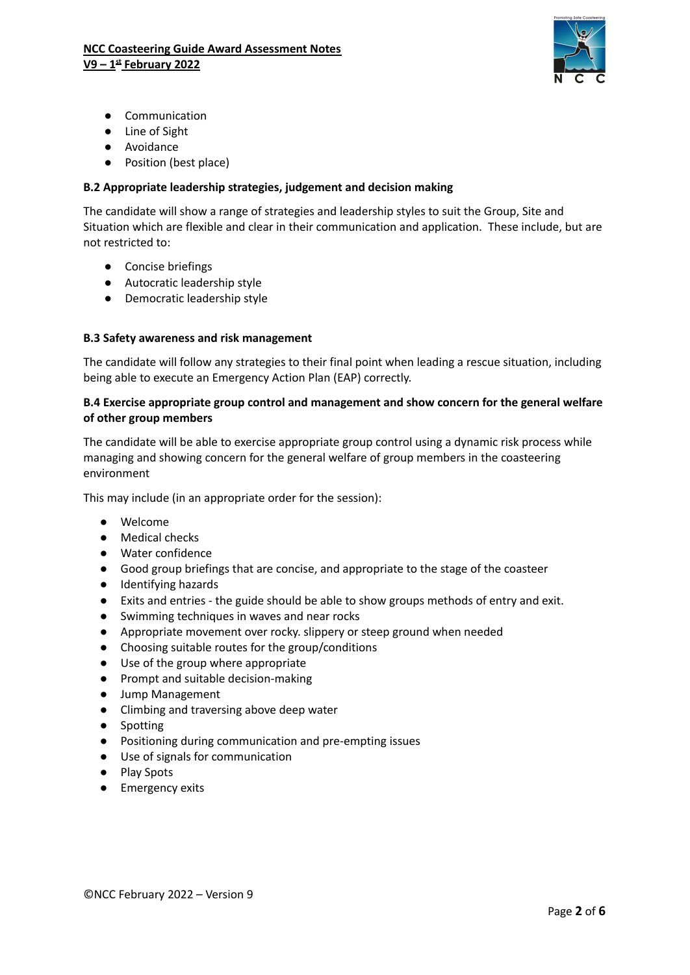

- Communication
- Line of Sight
- Avoidance
- Position (best place)

## **B.2 Appropriate leadership strategies, judgement and decision making**

The candidate will show a range of strategies and leadership styles to suit the Group, Site and Situation which are flexible and clear in their communication and application. These include, but are not restricted to:

- Concise briefings
- Autocratic leadership style
- Democratic leadership style

## **B.3 Safety awareness and risk management**

The candidate will follow any strategies to their final point when leading a rescue situation, including being able to execute an Emergency Action Plan (EAP) correctly.

### **B.4 Exercise appropriate group control and management and show concern for the general welfare of other group members**

The candidate will be able to exercise appropriate group control using a dynamic risk process while managing and showing concern for the general welfare of group members in the coasteering environment

This may include (in an appropriate order for the session):

- Welcome
- Medical checks
- Water confidence
- Good group briefings that are concise, and appropriate to the stage of the coasteer
- Identifying hazards
- Exits and entries the guide should be able to show groups methods of entry and exit.
- Swimming techniques in waves and near rocks
- Appropriate movement over rocky. slippery or steep ground when needed
- Choosing suitable routes for the group/conditions
- Use of the group where appropriate
- Prompt and suitable decision-making
- Jump Management
- Climbing and traversing above deep water
- Spotting
- Positioning during communication and pre-empting issues
- Use of signals for communication
- Play Spots
- Emergency exits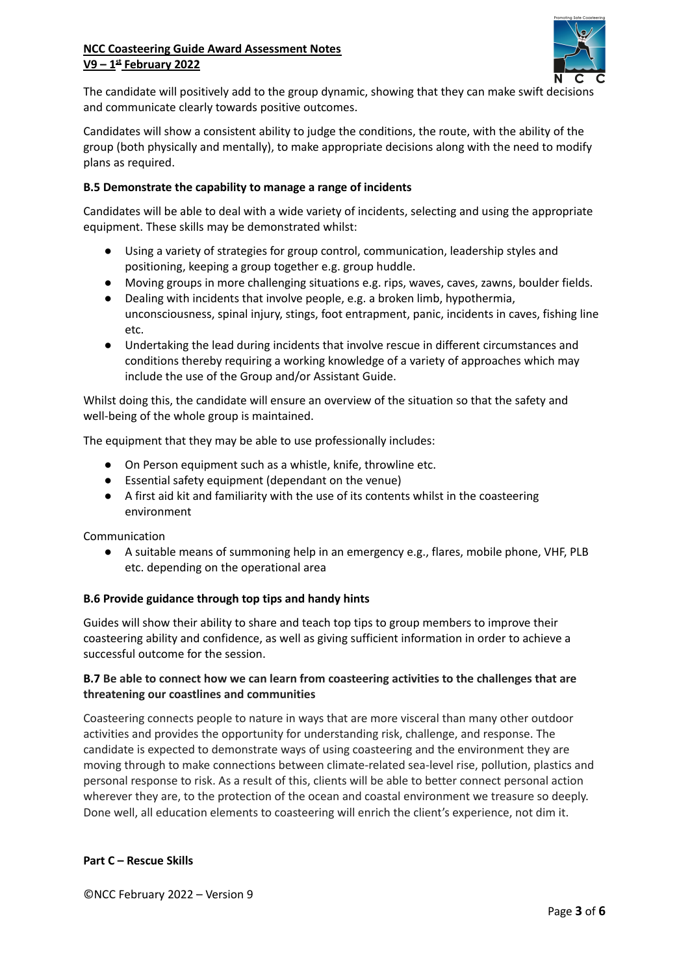

The candidate will positively add to the group dynamic, showing that they can make swift decisions and communicate clearly towards positive outcomes.

Candidates will show a consistent ability to judge the conditions, the route, with the ability of the group (both physically and mentally), to make appropriate decisions along with the need to modify plans as required.

### **B.5 Demonstrate the capability to manage a range of incidents**

Candidates will be able to deal with a wide variety of incidents, selecting and using the appropriate equipment. These skills may be demonstrated whilst:

- Using a variety of strategies for group control, communication, leadership styles and positioning, keeping a group together e.g. group huddle.
- Moving groups in more challenging situations e.g. rips, waves, caves, zawns, boulder fields.
- Dealing with incidents that involve people, e.g. a broken limb, hypothermia, unconsciousness, spinal injury, stings, foot entrapment, panic, incidents in caves, fishing line etc.
- Undertaking the lead during incidents that involve rescue in different circumstances and conditions thereby requiring a working knowledge of a variety of approaches which may include the use of the Group and/or Assistant Guide.

Whilst doing this, the candidate will ensure an overview of the situation so that the safety and well-being of the whole group is maintained.

The equipment that they may be able to use professionally includes:

- On Person equipment such as a whistle, knife, throwline etc.
- Essential safety equipment (dependant on the venue)
- A first aid kit and familiarity with the use of its contents whilst in the coasteering environment

Communication

● A suitable means of summoning help in an emergency e.g., flares, mobile phone, VHF, PLB etc. depending on the operational area

#### **B.6 Provide guidance through top tips and handy hints**

Guides will show their ability to share and teach top tips to group members to improve their coasteering ability and confidence, as well as giving sufficient information in order to achieve a successful outcome for the session.

## **B.7 Be able to connect how we can learn from coasteering activities to the challenges that are threatening our coastlines and communities**

Coasteering connects people to nature in ways that are more visceral than many other outdoor activities and provides the opportunity for understanding risk, challenge, and response. The candidate is expected to demonstrate ways of using coasteering and the environment they are moving through to make connections between climate-related sea-level rise, pollution, plastics and personal response to risk. As a result of this, clients will be able to better connect personal action wherever they are, to the protection of the ocean and coastal environment we treasure so deeply. Done well, all education elements to coasteering will enrich the client's experience, not dim it.

#### **Part C – Rescue Skills**

©NCC February 2022 – Version 9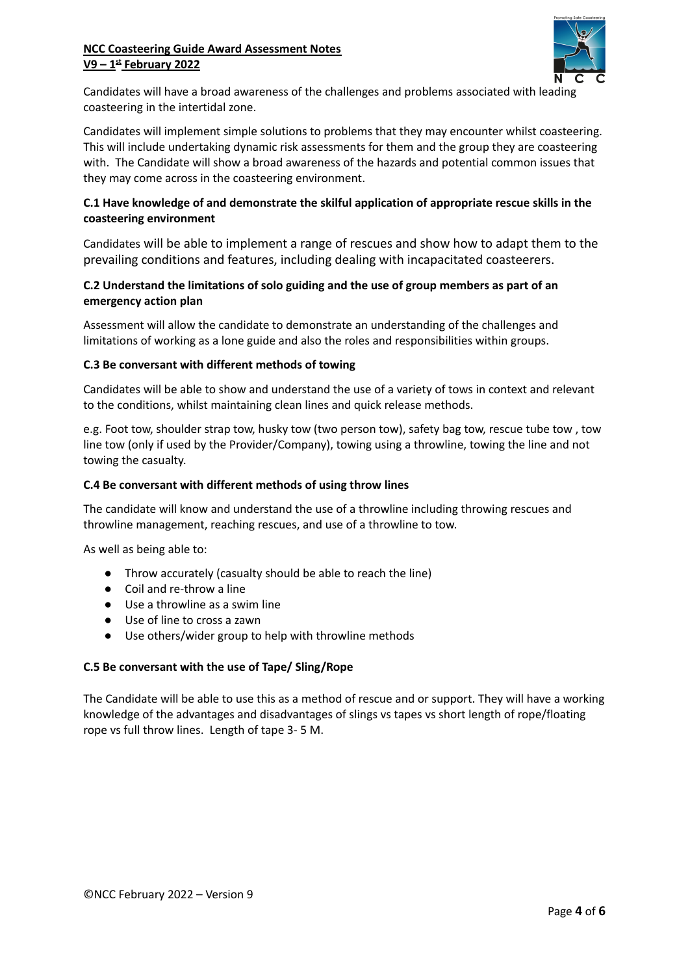

Candidates will have a broad awareness of the challenges and problems associated with leading coasteering in the intertidal zone.

Candidates will implement simple solutions to problems that they may encounter whilst coasteering. This will include undertaking dynamic risk assessments for them and the group they are coasteering with. The Candidate will show a broad awareness of the hazards and potential common issues that they may come across in the coasteering environment.

# **C.1 Have knowledge of and demonstrate the skilful application of appropriate rescue skills in the coasteering environment**

Candidates will be able to implement a range of rescues and show how to adapt them to the prevailing conditions and features, including dealing with incapacitated coasteerers.

# **C.2 Understand the limitations of solo guiding and the use of group members as part of an emergency action plan**

Assessment will allow the candidate to demonstrate an understanding of the challenges and limitations of working as a lone guide and also the roles and responsibilities within groups.

## **C.3 Be conversant with different methods of towing**

Candidates will be able to show and understand the use of a variety of tows in context and relevant to the conditions, whilst maintaining clean lines and quick release methods.

e.g. Foot tow, shoulder strap tow, husky tow (two person tow), safety bag tow, rescue tube tow , tow line tow (only if used by the Provider/Company), towing using a throwline, towing the line and not towing the casualty.

## **C.4 Be conversant with different methods of using throw lines**

The candidate will know and understand the use of a throwline including throwing rescues and throwline management, reaching rescues, and use of a throwline to tow.

As well as being able to:

- Throw accurately (casualty should be able to reach the line)
- Coil and re-throw a line
- Use a throwline as a swim line
- Use of line to cross a zawn
- Use others/wider group to help with throwline methods

#### **C.5 Be conversant with the use of Tape/ Sling/Rope**

The Candidate will be able to use this as a method of rescue and or support. They will have a working knowledge of the advantages and disadvantages of slings vs tapes vs short length of rope/floating rope vs full throw lines. Length of tape 3- 5 M.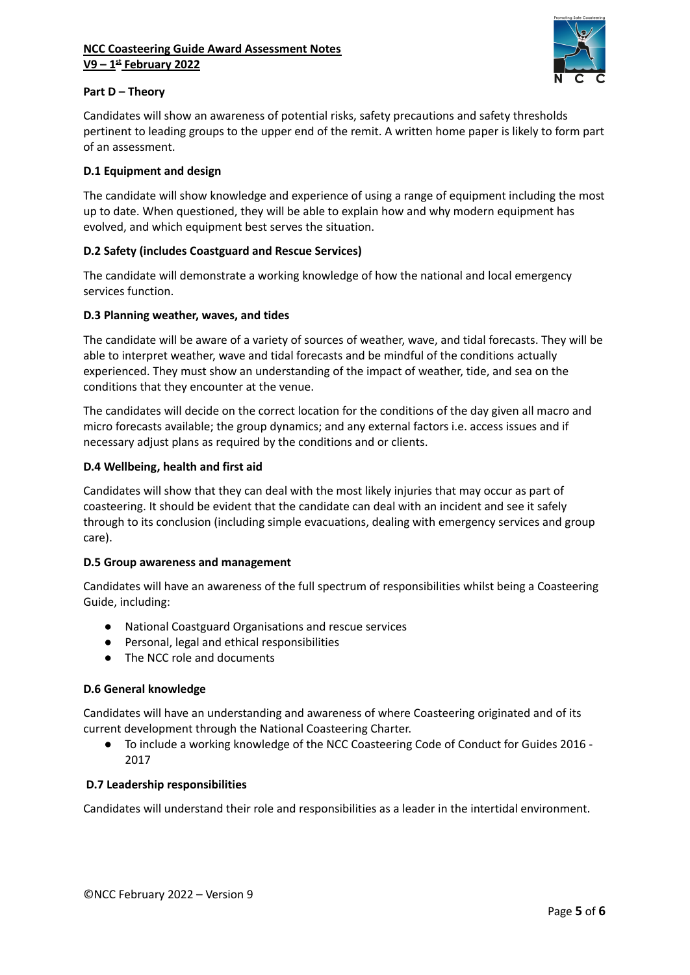

## **Part D – Theory**

Candidates will show an awareness of potential risks, safety precautions and safety thresholds pertinent to leading groups to the upper end of the remit. A written home paper is likely to form part of an assessment.

### **D.1 Equipment and design**

The candidate will show knowledge and experience of using a range of equipment including the most up to date. When questioned, they will be able to explain how and why modern equipment has evolved, and which equipment best serves the situation.

# **D.2 Safety (includes Coastguard and Rescue Services)**

The candidate will demonstrate a working knowledge of how the national and local emergency services function.

## **D.3 Planning weather, waves, and tides**

The candidate will be aware of a variety of sources of weather, wave, and tidal forecasts. They will be able to interpret weather, wave and tidal forecasts and be mindful of the conditions actually experienced. They must show an understanding of the impact of weather, tide, and sea on the conditions that they encounter at the venue.

The candidates will decide on the correct location for the conditions of the day given all macro and micro forecasts available; the group dynamics; and any external factors i.e. access issues and if necessary adjust plans as required by the conditions and or clients.

## **D.4 Wellbeing, health and first aid**

Candidates will show that they can deal with the most likely injuries that may occur as part of coasteering. It should be evident that the candidate can deal with an incident and see it safely through to its conclusion (including simple evacuations, dealing with emergency services and group care).

#### **D.5 Group awareness and management**

Candidates will have an awareness of the full spectrum of responsibilities whilst being a Coasteering Guide, including:

- National Coastguard Organisations and rescue services
- Personal, legal and ethical responsibilities
- The NCC role and documents

#### **D.6 General knowledge**

Candidates will have an understanding and awareness of where Coasteering originated and of its current development through the National Coasteering Charter.

● To include a working knowledge of the NCC Coasteering Code of Conduct for Guides 2016 - 2017

#### **D.7 Leadership responsibilities**

Candidates will understand their role and responsibilities as a leader in the intertidal environment.